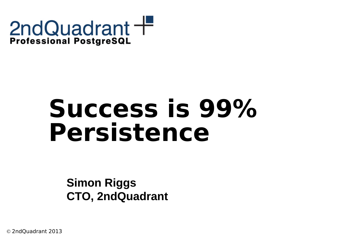

### **Success is 99% Persistence**

**Simon Riggs CTO, 2ndQuadrant**

© 2ndQuadrant 2013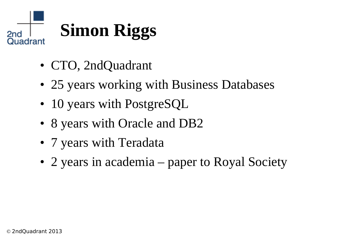

- CTO, 2ndQuadrant
- 25 years working with Business Databases
- 10 years with PostgreSQL
- 8 years with Oracle and DB2
- 7 years with Teradata
- 2 years in academia paper to Royal Society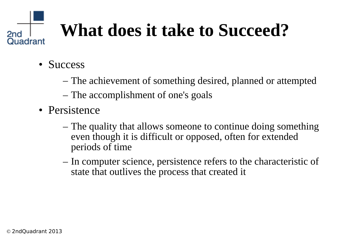### **What does it take to Succeed?**

• Success

2nd

- The achievement of something desired, planned or attempted
- The accomplishment of one's goals
- Persistence
	- The quality that allows someone to continue doing something even though it is difficult or opposed, often for extended periods of time
	- In computer science, persistence refers to the characteristic of state that outlives the process that created it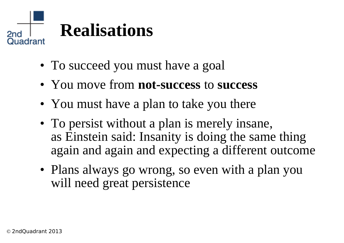

- To succeed you must have a goal
- You move from **not-success** to **success**
- You must have a plan to take you there
- To persist without a plan is merely insane, as Einstein said: Insanity is doing the same thing again and again and expecting a different outcome
- Plans always go wrong, so even with a plan you will need great persistence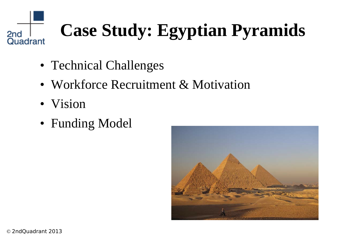#### **Case Study: Egyptian Pyramids** 2<sub>nd</sub> Quadrant

- Technical Challenges
- Workforce Recruitment & Motivation
- Vision
- Funding Model

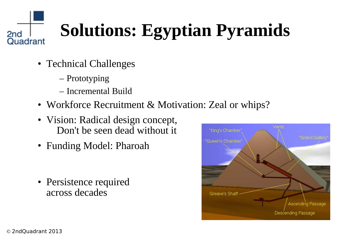### **Solutions: Egyptian Pyramids**

- Technical Challenges
	- Prototyping
	- Incremental Build
- Workforce Recruitment & Motivation: Zeal or whips?
- Vision: Radical design concept, Don't be seen dead without it
- Funding Model: Pharoah
- Persistence required across decades



2<sub>nd</sub>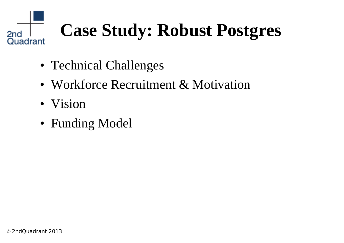#### **Case Study: Robust Postgres** 2<sub>nd</sub> Quadrant

- Technical Challenges
- Workforce Recruitment & Motivation
- Vision
- Funding Model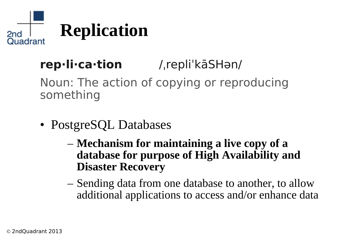

#### **rep·li·ca·tion** /ˌrepliˈkāSHən/

Noun: The action of copying or reproducing something

- PostgreSQL Databases
	- **Mechanism for maintaining a live copy of a database for purpose of High Availability and Disaster Recovery**
	- Sending data from one database to another, to allow additional applications to access and/or enhance data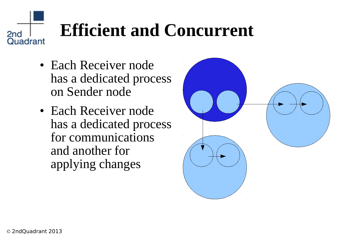### **Efficient and Concurrent**

- Each Receiver node has a dedicated process on Sender node
- Each Receiver node has a dedicated process for communications and another for applying changes



2<sub>nd</sub>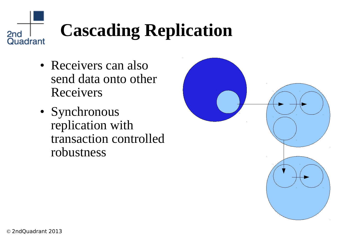### **Cascading Replication**

- Receivers can also send data onto other Receivers
- Synchronous replication with transaction controlled robustness



2<sub>nd</sub>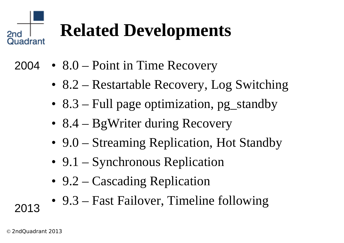### **Related Developments**

- 8.0 Point in Time Recovery 2004
	- 8.2 Restartable Recovery, Log Switching
	- 8.3 Full page optimization, pg standby
	- 8.4 BgWriter during Recovery
	- 9.0 Streaming Replication, Hot Standby
	- 9.1 Synchronous Replication
	- 9.2 Cascading Replication
	- 9.3 Fast Failover, Timeline following

2013

2nd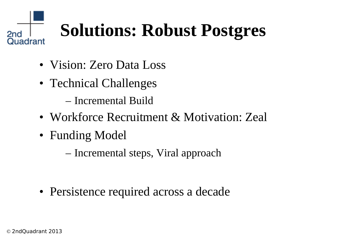#### **Solutions: Robust Postgres** Quadrant

- Vision: Zero Data Loss
- Technical Challenges

– Incremental Build

- Workforce Recruitment & Motivation: Zeal
- Funding Model

– Incremental steps, Viral approach

• Persistence required across a decade

2nd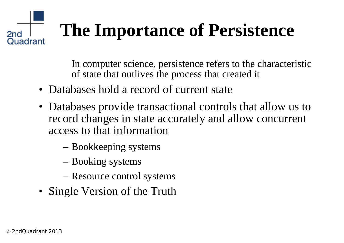#### **The Importance of Persistence** 2nd Quadrant

In computer science, persistence refers to the characteristic of state that outlives the process that created it

- Databases hold a record of current state
- Databases provide transactional controls that allow us to record changes in state accurately and allow concurrent access to that information
	- Bookkeeping systems
	- Booking systems
	- Resource control systems
- Single Version of the Truth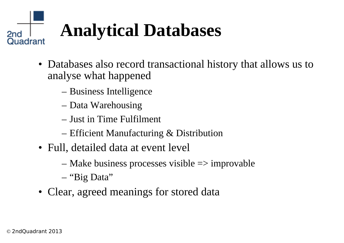#### **Analytical Databases** 2nd Quadrant

- Databases also record transactional history that allows us to analyse what happened
	- Business Intelligence
	- Data Warehousing
	- Just in Time Fulfilment
	- Efficient Manufacturing & Distribution
- Full, detailed data at event level
	- Make business processes visible => improvable
	- "Big Data"
- Clear, agreed meanings for stored data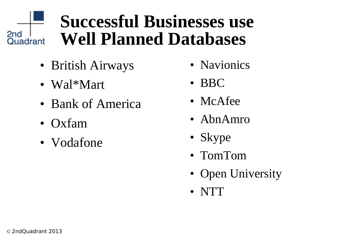#### **Successful Businesses use Well Planned Databases** Giu<br>Quadrant

- British Airways
- Wal\*Mart
- Bank of America
- Oxfam
- Vodafone
- Navionics
- BBC
- McAfee
- AbnAmro
- Skype
- TomTom
- Open University
- NTT

2<sub>nd</sub>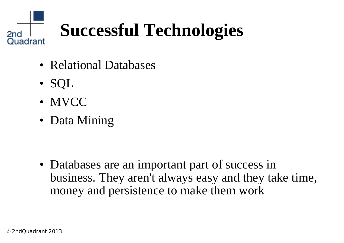## **Successful Technologies**

- Relational Databases
- SQL

2nd

Quadrant

- MVCC
- Data Mining

• Databases are an important part of success in business. They aren't always easy and they take time, money and persistence to make them work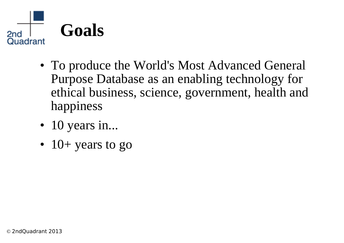

- To produce the World's Most Advanced General Purpose Database as an enabling technology for ethical business, science, government, health and happiness
- 10 years in...
- $\cdot$  10+ years to go